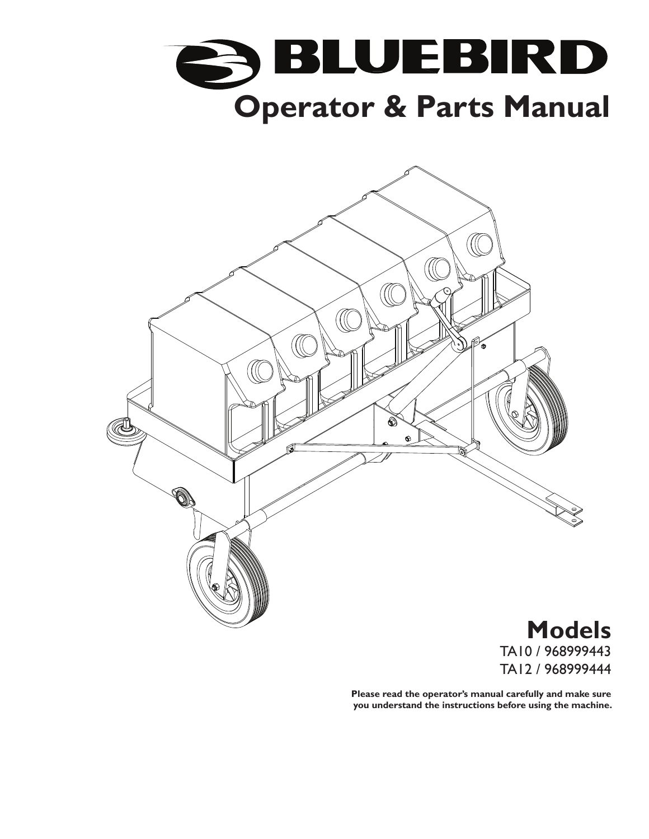



**Models** TA10 / 968999443 TA12 / 968999444

**Please read the operator's manual carefully and make sure you understand the instructions before using the machine.**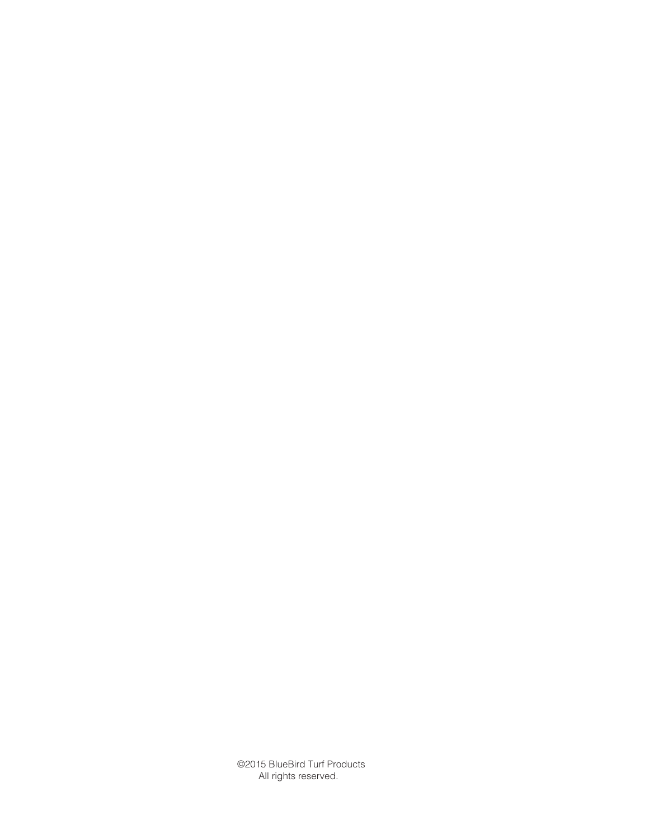©2015 BlueBird Turf Products All rights reserved.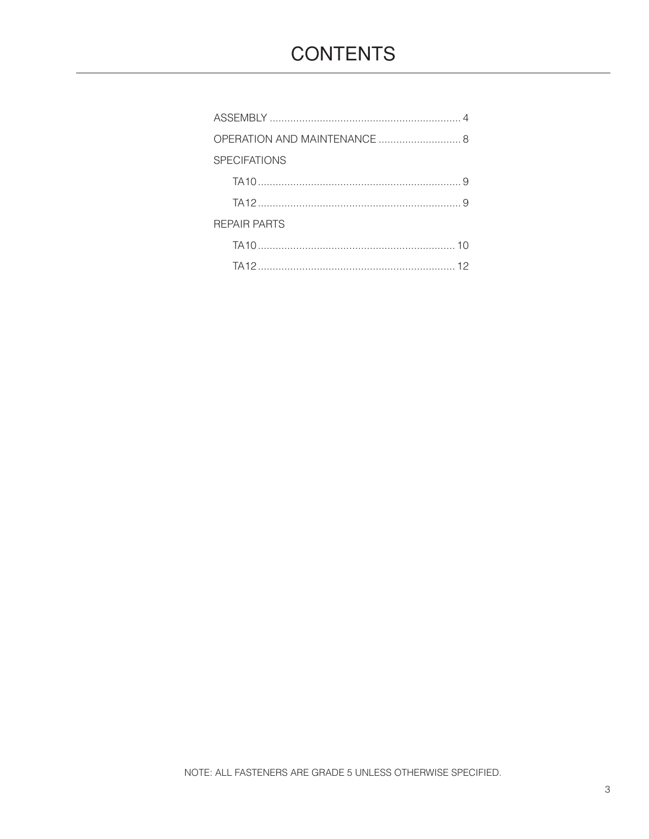| OPERATION AND MAINTENANCE  8 |
|------------------------------|
| <b>SPECIFATIONS</b>          |
|                              |
|                              |
| <b>REPAIR PARTS</b>          |
|                              |
|                              |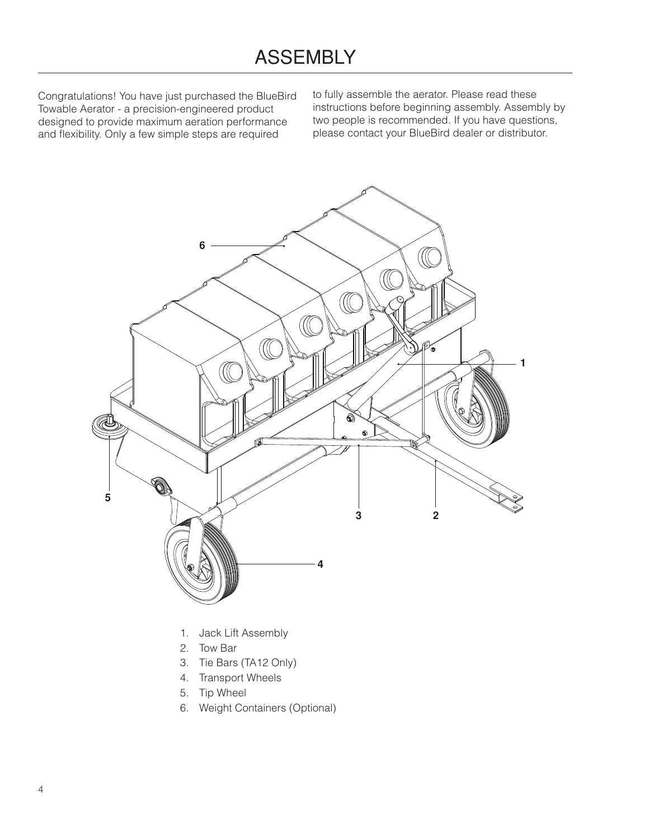## ASSEMBLY

Congratulations! You have just purchased the BlueBird Towable Aerator - a precision-engineered product designed to provide maximum aeration performance and flexibility. Only a few simple steps are required

to fully assemble the aerator. Please read these instructions before beginning assembly. Assembly by two people is recommended. If you have questions, please contact your BlueBird dealer or distributor.



- 1. Jack Lift Assembly
- 2. Tow Bar
- 3. Tie Bars (TA12 Only)
- 4. Transport Wheels
- 5. Tip Wheel
- 6. Weight Containers (Optional)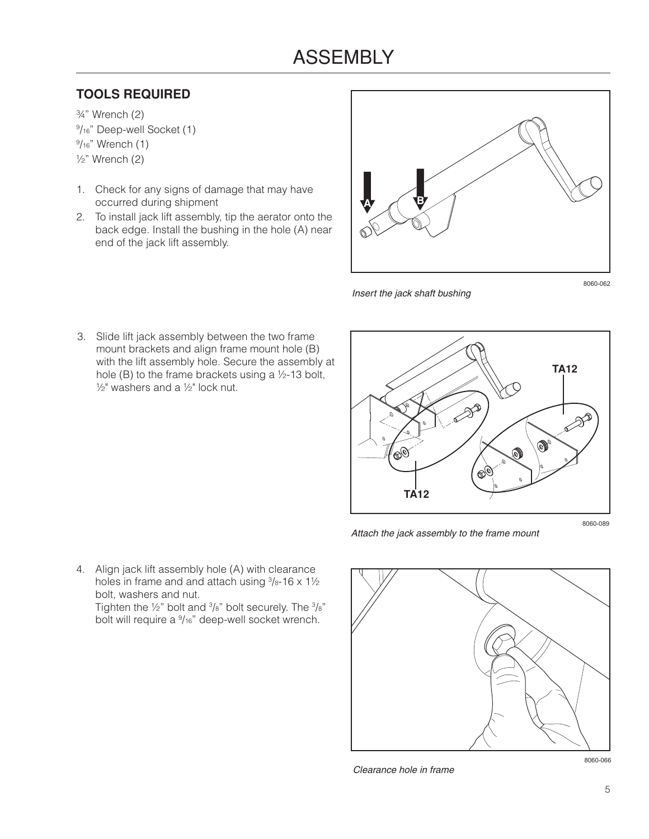## ASSEMBLY

## **TOOLS REQUIRED**

¾" Wrench (2) 9 /16" Deep-well Socket (1) <sup>9</sup>/16" Wrench (1) ½" Wrench (2)

- 1. Check for any signs of damage that may have occurred during shipment
- 2. To install jack lift assembly, tip the aerator onto the back edge. Install the bushing in the hole (A) near end of the jack lift assembly.



*Insert the jack shaft bushing*

8060-062

3. Slide lift jack assembly between the two frame mount brackets and align frame mount hole (B) with the lift assembly hole. Secure the assembly at hole (B) to the frame brackets using a ½-13 bolt,  $\frac{1}{2}$ " washers and a  $\frac{1}{2}$ " lock nut.



*Attach the jack assembly to the frame mount*

8060-089

4. Align jack lift assembly hole (A) with clearance holes in frame and and attach using  $\frac{3}{8}$ -16 x 1 $\frac{1}{2}$ bolt, washers and nut.

Tighten the  $\frac{1}{2}$ " bolt and  $\frac{3}{8}$ " bolt securely. The  $\frac{3}{8}$ " bolt will require a  $\frac{9}{16}$ " deep-well socket wrench.



*Clearance hole in frame*

8060-066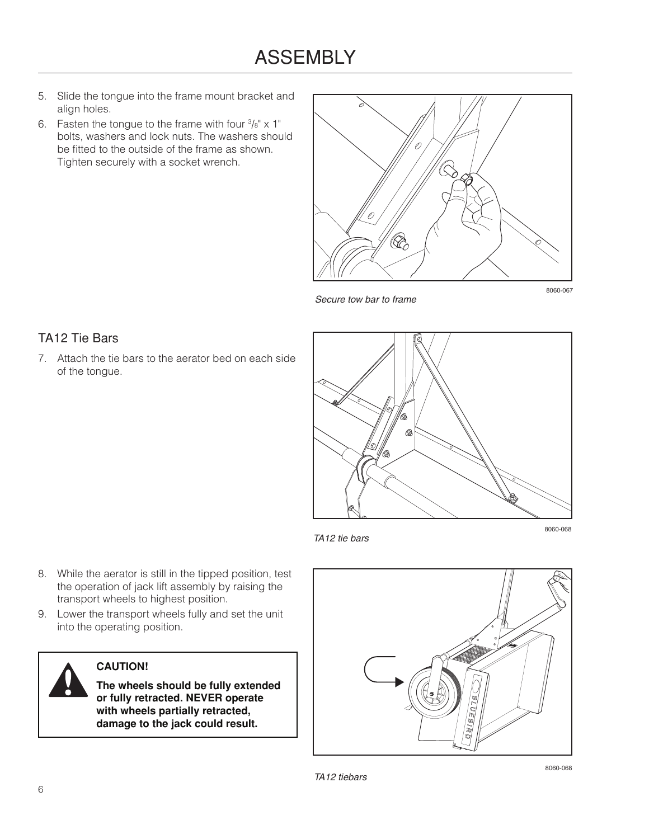- 5. Slide the tongue into the frame mount bracket and align holes.
- 6. Fasten the tongue to the frame with four  $\frac{3}{8}$ " x 1" bolts, washers and lock nuts. The washers should be fitted to the outside of the frame as shown. Tighten securely with a socket wrench.



*Secure tow bar to frame*

#### 8060-067

#### TA12 Tie Bars

7. Attach the tie bars to the aerator bed on each side of the tongue.



*TA12 tie bars*

8060-068

- 8. While the aerator is still in the tipped position, test the operation of jack lift assembly by raising the transport wheels to highest position.
- 9. Lower the transport wheels fully and set the unit into the operating position.



#### **CAUTION!**

**The wheels should be fully extended or fully retracted. NEVER operate with wheels partially retracted, damage to the jack could result.**



8060-068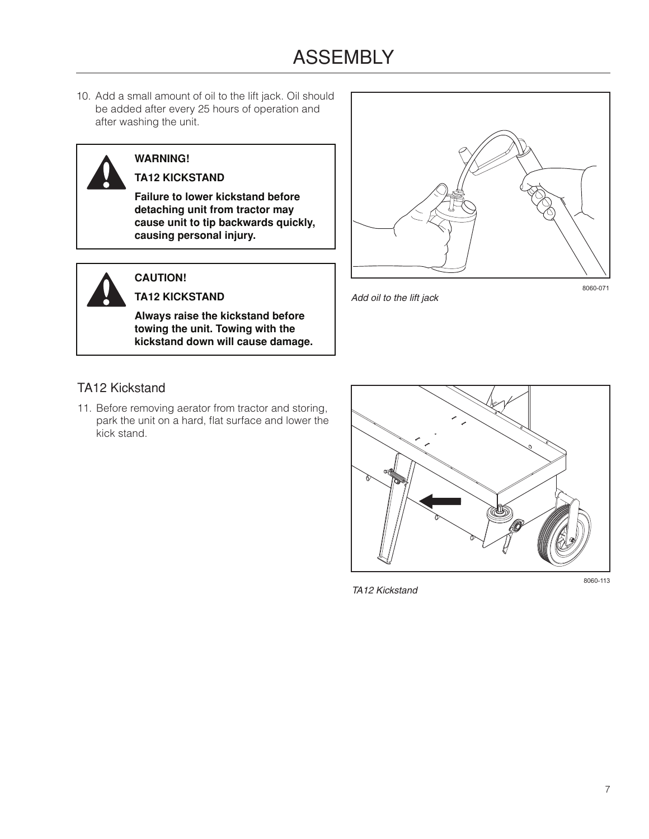## ASSEMBLY

10. Add a small amount of oil to the lift jack. Oil should be added after every 25 hours of operation and after washing the unit.

## **WARNING!**

#### **TA12 KICKSTAND**

**Failure to lower kickstand before detaching unit from tractor may cause unit to tip backwards quickly, causing personal injury.**

## **CAUTION!**

**TA12 KICKSTAND**

**Always raise the kickstand before towing the unit. Towing with the kickstand down will cause damage.**



*Add oil to the lift jack*

8060-071

#### TA12 Kickstand

11. Before removing aerator from tractor and storing, park the unit on a hard, flat surface and lower the kick stand.



*TA12 Kickstand*

8060-113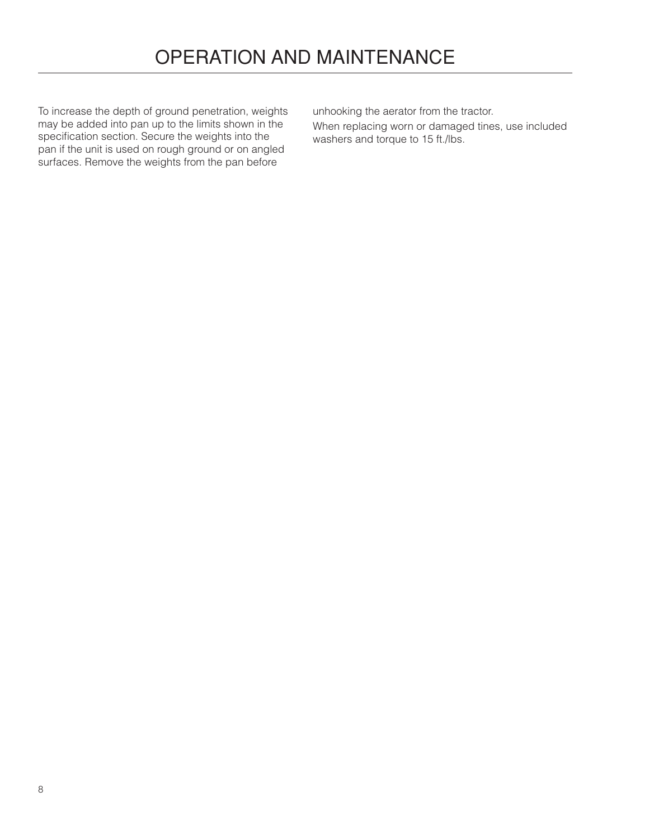To increase the depth of ground penetration, weights may be added into pan up to the limits shown in the specification section. Secure the weights into the pan if the unit is used on rough ground or on angled surfaces. Remove the weights from the pan before

unhooking the aerator from the tractor.

When replacing worn or damaged tines, use included washers and torque to 15 ft./lbs.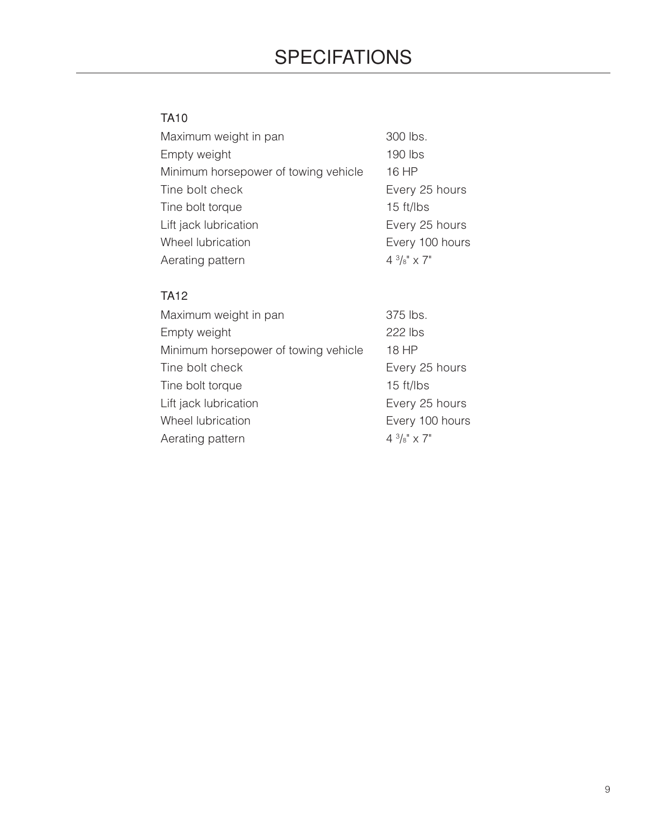# **SPECIFATIONS**

## TA10

| Maximum weight in pan                | 300 lbs.              |
|--------------------------------------|-----------------------|
| Empty weight                         | 190 lbs               |
| Minimum horsepower of towing vehicle | 16 HP                 |
| Tine bolt check                      | Every 25 hours        |
| Tine bolt torque                     | 15 ft/lbs             |
| Lift jack lubrication                | Every 25 hours        |
| Wheel lubrication                    | Every 100 hours       |
| Aerating pattern                     | $4\frac{3}{8}$ " x 7" |
|                                      |                       |

### TA12

| Maximum weight in pan                | 375 lbs.              |
|--------------------------------------|-----------------------|
| Empty weight                         | 222 lbs               |
| Minimum horsepower of towing vehicle | 18 HP                 |
| Tine bolt check                      | Every 25 hours        |
| Tine bolt torque                     | 15 ft/lbs             |
| Lift jack lubrication                | Every 25 hours        |
| Wheel lubrication                    | Every 100 hours       |
| Aerating pattern                     | $4\frac{3}{8}$ " x 7" |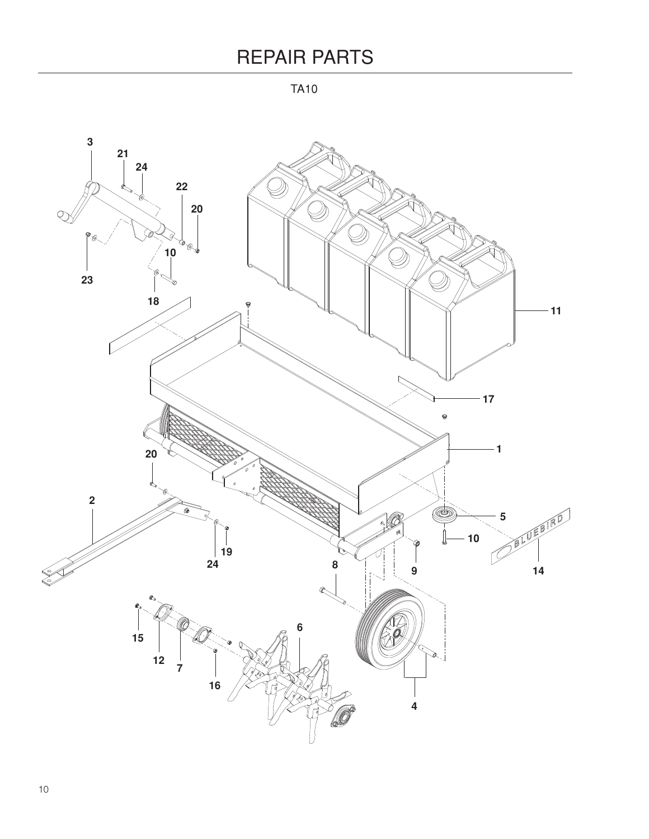TA10

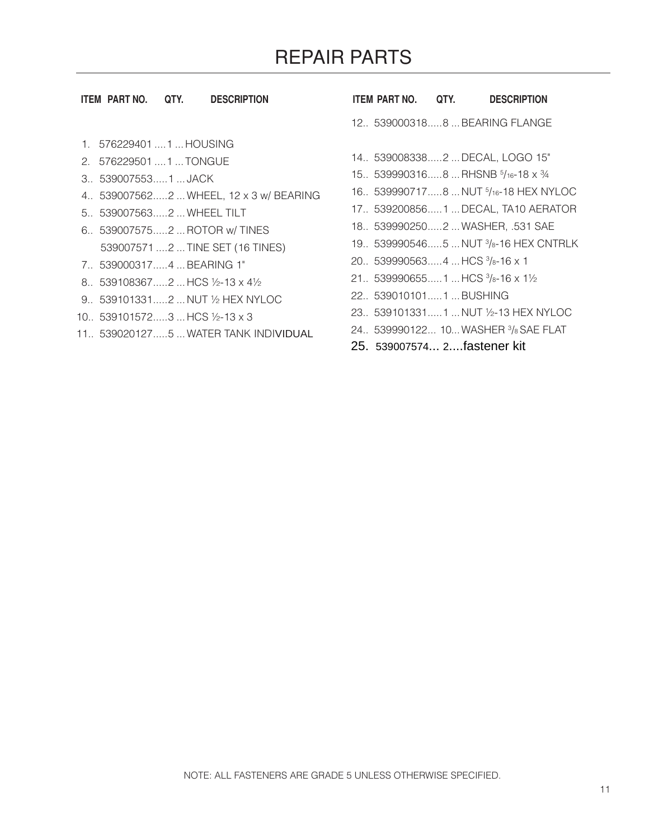#### **ITEM PART NO. QTY. DESCRIPTION ITEM PART NO. QTY. DESCRIPTION**

- 1. 576229401....1 ...HOUSING
- 2. 576229501....1 ...TONGUE
- 3.. 539007553.....1 ... JACK
- 4.. 539007562.....2 ...WHEEL, 12 x 3 w/ BEARING
- 5.. 539007563.....2 ...WHEEL TILT
- 6.. 539007575.....2 ...ROTOR w/ TINES 539007571....2 ...TINE SET (16 TINES)
- 7.. 539000317.....4 ...BEARING 1"
- 8.. 539108367.....2 ...HCS ½-13 x 4½
- 9.. 539101331.....2 ...NUT ½ HEX NYLOC
- 10.. 539101572.....3 ...HCS ½-13 x 3
- 11.. 539020127.....5 ...WATER TANK INDIVIDUAL

12.. 539000318.....8 ...BEARING FLANGE

- 14.. 539008338.....2 ...DECAL, LOGO 15"
- 15.. 539990316.....8 ...RHSNB <sup>5</sup> /16-18 x ¾
- 16.. 539990717.....8 ...NUT <sup>5</sup> /16-18 HEX NYLOC
- 17.. 539200856.....1 ...DECAL, TA10 AERATOR
- 18.. 539990250.....2 ...WASHER, .531 SAE
- 19.. 539990546.....5 ...NUT <sup>3</sup> /8-16 HEX CNTRLK
- 20.. 539990563.....4 ...HCS <sup>3</sup> /8-16 x 1
- 21.. 539990655.....1 ...HCS 3/8-16 x 11/2
- 22.. 539010101.....1 ...BUSHING
- 23.. 539101331.....1 ...NUT ½-13 HEX NYLOC
- 24.. 539990122... 10...WASHER <sup>3</sup> /<sup>8</sup> SAE FLAT
- 25. 539007574... 2....fastener kit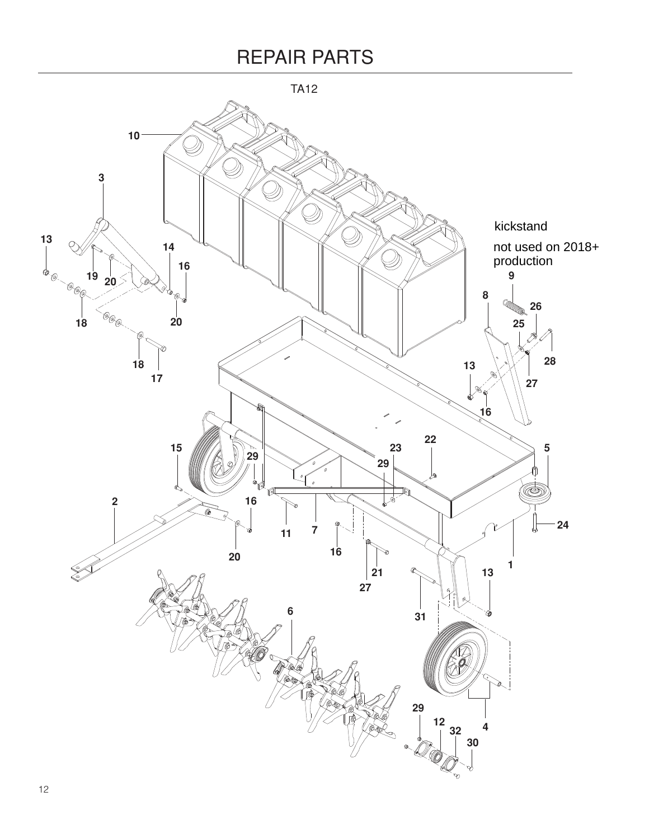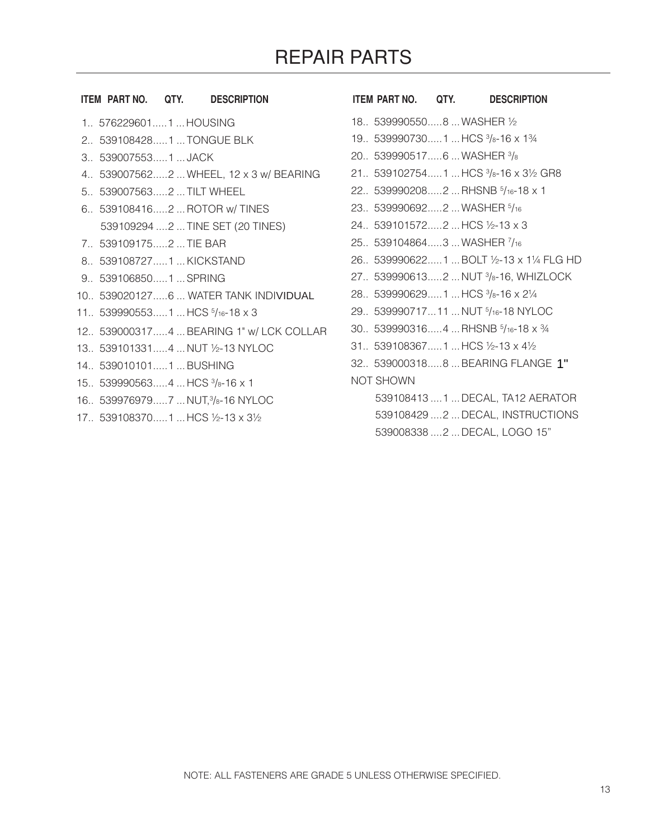|  |                    |                                                                                                                                                                                                                                                                                                                                                                                                                                                                                                                                                |                                                                                    |                  | <b>DESCRIPTION</b>                                                                                                                                                                                                                                                                                                                                                                                                                                                                                                                                                                                                                                                                                                               |
|--|--------------------|------------------------------------------------------------------------------------------------------------------------------------------------------------------------------------------------------------------------------------------------------------------------------------------------------------------------------------------------------------------------------------------------------------------------------------------------------------------------------------------------------------------------------------------------|------------------------------------------------------------------------------------|------------------|----------------------------------------------------------------------------------------------------------------------------------------------------------------------------------------------------------------------------------------------------------------------------------------------------------------------------------------------------------------------------------------------------------------------------------------------------------------------------------------------------------------------------------------------------------------------------------------------------------------------------------------------------------------------------------------------------------------------------------|
|  |                    |                                                                                                                                                                                                                                                                                                                                                                                                                                                                                                                                                |                                                                                    |                  |                                                                                                                                                                                                                                                                                                                                                                                                                                                                                                                                                                                                                                                                                                                                  |
|  |                    |                                                                                                                                                                                                                                                                                                                                                                                                                                                                                                                                                |                                                                                    |                  |                                                                                                                                                                                                                                                                                                                                                                                                                                                                                                                                                                                                                                                                                                                                  |
|  |                    |                                                                                                                                                                                                                                                                                                                                                                                                                                                                                                                                                |                                                                                    |                  |                                                                                                                                                                                                                                                                                                                                                                                                                                                                                                                                                                                                                                                                                                                                  |
|  |                    |                                                                                                                                                                                                                                                                                                                                                                                                                                                                                                                                                |                                                                                    |                  |                                                                                                                                                                                                                                                                                                                                                                                                                                                                                                                                                                                                                                                                                                                                  |
|  |                    |                                                                                                                                                                                                                                                                                                                                                                                                                                                                                                                                                |                                                                                    |                  |                                                                                                                                                                                                                                                                                                                                                                                                                                                                                                                                                                                                                                                                                                                                  |
|  |                    |                                                                                                                                                                                                                                                                                                                                                                                                                                                                                                                                                |                                                                                    |                  |                                                                                                                                                                                                                                                                                                                                                                                                                                                                                                                                                                                                                                                                                                                                  |
|  |                    |                                                                                                                                                                                                                                                                                                                                                                                                                                                                                                                                                |                                                                                    |                  |                                                                                                                                                                                                                                                                                                                                                                                                                                                                                                                                                                                                                                                                                                                                  |
|  |                    |                                                                                                                                                                                                                                                                                                                                                                                                                                                                                                                                                |                                                                                    |                  |                                                                                                                                                                                                                                                                                                                                                                                                                                                                                                                                                                                                                                                                                                                                  |
|  |                    |                                                                                                                                                                                                                                                                                                                                                                                                                                                                                                                                                |                                                                                    |                  |                                                                                                                                                                                                                                                                                                                                                                                                                                                                                                                                                                                                                                                                                                                                  |
|  |                    |                                                                                                                                                                                                                                                                                                                                                                                                                                                                                                                                                |                                                                                    |                  |                                                                                                                                                                                                                                                                                                                                                                                                                                                                                                                                                                                                                                                                                                                                  |
|  |                    |                                                                                                                                                                                                                                                                                                                                                                                                                                                                                                                                                |                                                                                    |                  |                                                                                                                                                                                                                                                                                                                                                                                                                                                                                                                                                                                                                                                                                                                                  |
|  |                    |                                                                                                                                                                                                                                                                                                                                                                                                                                                                                                                                                |                                                                                    |                  |                                                                                                                                                                                                                                                                                                                                                                                                                                                                                                                                                                                                                                                                                                                                  |
|  |                    |                                                                                                                                                                                                                                                                                                                                                                                                                                                                                                                                                |                                                                                    |                  |                                                                                                                                                                                                                                                                                                                                                                                                                                                                                                                                                                                                                                                                                                                                  |
|  |                    |                                                                                                                                                                                                                                                                                                                                                                                                                                                                                                                                                |                                                                                    |                  |                                                                                                                                                                                                                                                                                                                                                                                                                                                                                                                                                                                                                                                                                                                                  |
|  |                    |                                                                                                                                                                                                                                                                                                                                                                                                                                                                                                                                                |                                                                                    |                  |                                                                                                                                                                                                                                                                                                                                                                                                                                                                                                                                                                                                                                                                                                                                  |
|  |                    |                                                                                                                                                                                                                                                                                                                                                                                                                                                                                                                                                |                                                                                    |                  |                                                                                                                                                                                                                                                                                                                                                                                                                                                                                                                                                                                                                                                                                                                                  |
|  |                    |                                                                                                                                                                                                                                                                                                                                                                                                                                                                                                                                                |                                                                                    |                  |                                                                                                                                                                                                                                                                                                                                                                                                                                                                                                                                                                                                                                                                                                                                  |
|  |                    |                                                                                                                                                                                                                                                                                                                                                                                                                                                                                                                                                |                                                                                    |                  |                                                                                                                                                                                                                                                                                                                                                                                                                                                                                                                                                                                                                                                                                                                                  |
|  | ITEM PART NO. QTY. | <b>DESCRIPTION</b><br>1 5762296011  HOUSING<br>2. 5391084281  TONGUE BLK<br>3 5390075531JACK<br>5 5390075632  TILT WHEEL<br>6. 5391084162  ROTOR w/ TINES<br>539109294  2  TINE SET (20 TINES)<br>7. 5391091752  TIE BAR<br>8. 5391087271  KICKSTAND<br>9. 5391068501  SPRING<br>10. 5390201276  WATER TANK INDIVIDUAL<br>11. 5399905531  HCS 5/16-18 x 3<br>13. 5391013314  NUT 1/2-13 NYLOC<br>14 5390101011  BUSHING<br>15. 5399905634  HCS $\frac{3}{8}$ -16 x 1<br>16. 5399769797  NUT, 3/8-16 NYLOC<br>17. 5391083701  HCS 1/2-13 x 31/2 | 4. 5390075622  WHEEL, 12 x 3 w/ BEARING<br>12 5390003174  BEARING 1" w/ LCK COLLAR | <b>NOT SHOWN</b> | ITEM PART NO. QTY.<br>18. 5399905508  WASHER 1/2<br>19. 5399907301  HCS $\frac{3}{8}$ -16 x 1 $\frac{3}{4}$<br>20. 5399905176  WASHER $\frac{3}{8}$<br>21. 5391027541  HCS $\frac{3}{8}$ -16 x 3 $\frac{1}{2}$ GR8<br>22 5399902082  RHSNB 5/16-18 x 1<br>23. 539990692 2  WASHER 5/16<br>24. 5391015722  HCS 1/2-13 x 3<br>25. 5391048643  WASHER 7/16<br>26. 539990622 1  BOLT 1/2-13 x 11/4 FLG HD<br>27. 5399906132  NUT 3/8-16, WHIZLOCK<br>28. 5399906291  HCS 3/8-16 x 21/4<br>29. 53999071711  NUT 5/16-18 NYLOC<br>30. 5399903164  RHSNB $5/16 - 18 \times 3/4$<br>31. 5391083671HCS $1/2$ -13 x 4 $1/2$<br>32. 5390003188  BEARING FLANGE 1"<br>539108413  1  DECAL, TA12 AERATOR<br>539108429  2  DECAL, INSTRUCTIONS |

539008338....2 ...DECAL, LOGO 15"